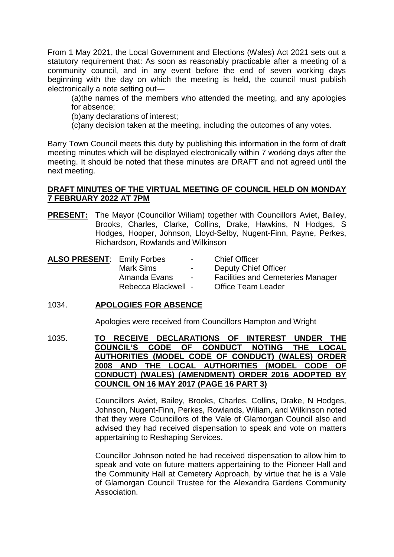From 1 May 2021, the Local Government and Elections (Wales) Act 2021 sets out a statutory requirement that: As soon as reasonably practicable after a meeting of a community council, and in any event before the end of seven working days beginning with the day on which the meeting is held, the council must publish electronically a note setting out—

(a)the names of the members who attended the meeting, and any apologies for absence;

(b)any declarations of interest;

(c)any decision taken at the meeting, including the outcomes of any votes.

Barry Town Council meets this duty by publishing this information in the form of draft meeting minutes which will be displayed electronically within 7 working days after the meeting. It should be noted that these minutes are DRAFT and not agreed until the next meeting.

# **DRAFT MINUTES OF THE VIRTUAL MEETING OF COUNCIL HELD ON MONDAY 7 FEBRUARY 2022 AT 7PM**

**PRESENT:** The Mayor (Councillor Wiliam) together with Councillors Aviet, Bailey, Brooks, Charles, Clarke, Collins, Drake, Hawkins, N Hodges, S Hodges, Hooper, Johnson, Lloyd-Selby, Nugent-Finn, Payne, Perkes, Richardson, Rowlands and Wilkinson

| <b>ALSO PRESENT: Emily Forbes</b> |                     | $\sim$ 10 $\pm$ | <b>Chief Officer</b>                     |
|-----------------------------------|---------------------|-----------------|------------------------------------------|
|                                   | Mark Sims           | $\sim$          | Deputy Chief Officer                     |
|                                   | Amanda Evans        | $\sim$ $-$      | <b>Facilities and Cemeteries Manager</b> |
|                                   | Rebecca Blackwell - |                 | <b>Office Team Leader</b>                |

# 1034. **APOLOGIES FOR ABSENCE**

Apologies were received from Councillors Hampton and Wright

1035. **TO RECEIVE DECLARATIONS OF INTEREST UNDER THE COUNCIL'S CODE OF CONDUCT NOTING THE LOCAL AUTHORITIES (MODEL CODE OF CONDUCT) (WALES) ORDER 2008 AND THE LOCAL AUTHORITIES (MODEL CODE OF CONDUCT) (WALES) (AMENDMENT) ORDER 2016 ADOPTED BY COUNCIL ON 16 MAY 2017 (PAGE 16 PART 3)**

> Councillors Aviet, Bailey, Brooks, Charles, Collins, Drake, N Hodges, Johnson, Nugent-Finn, Perkes, Rowlands, Wiliam, and Wilkinson noted that they were Councillors of the Vale of Glamorgan Council also and advised they had received dispensation to speak and vote on matters appertaining to Reshaping Services.

> Councillor Johnson noted he had received dispensation to allow him to speak and vote on future matters appertaining to the Pioneer Hall and the Community Hall at Cemetery Approach, by virtue that he is a Vale of Glamorgan Council Trustee for the Alexandra Gardens Community Association.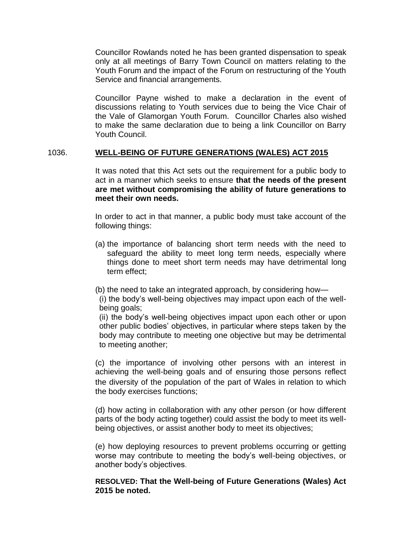Councillor Rowlands noted he has been granted dispensation to speak only at all meetings of Barry Town Council on matters relating to the Youth Forum and the impact of the Forum on restructuring of the Youth Service and financial arrangements.

Councillor Payne wished to make a declaration in the event of discussions relating to Youth services due to being the Vice Chair of the Vale of Glamorgan Youth Forum. Councillor Charles also wished to make the same declaration due to being a link Councillor on Barry Youth Council.

## 1036. **WELL-BEING OF FUTURE GENERATIONS (WALES) ACT 2015**

It was noted that this Act sets out the requirement for a public body to act in a manner which seeks to ensure **that the needs of the present are met without compromising the ability of future generations to meet their own needs.**

In order to act in that manner, a public body must take account of the following things:

- (a) the importance of balancing short term needs with the need to safeguard the ability to meet long term needs, especially where things done to meet short term needs may have detrimental long term effect;
- (b) the need to take an integrated approach, by considering how—

(i) the body's well-being objectives may impact upon each of the wellbeing goals;

(ii) the body's well-being objectives impact upon each other or upon other public bodies' objectives, in particular where steps taken by the body may contribute to meeting one objective but may be detrimental to meeting another;

(c) the importance of involving other persons with an interest in achieving the well-being goals and of ensuring those persons reflect the diversity of the population of the part of Wales in relation to which the body exercises functions;

(d) how acting in collaboration with any other person (or how different parts of the body acting together) could assist the body to meet its wellbeing objectives, or assist another body to meet its objectives;

(e) how deploying resources to prevent problems occurring or getting worse may contribute to meeting the body's well-being objectives, or another body's objectives.

## **RESOLVED: That the Well-being of Future Generations (Wales) Act 2015 be noted.**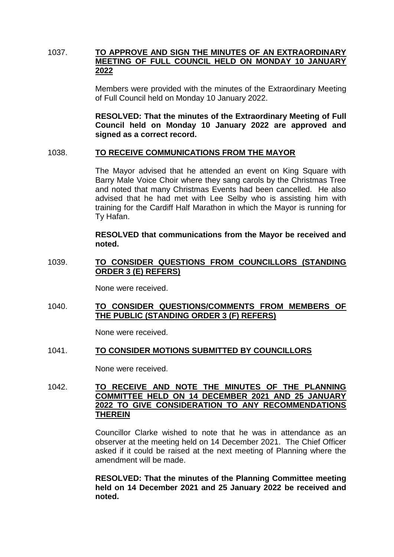# 1037. **TO APPROVE AND SIGN THE MINUTES OF AN EXTRAORDINARY MEETING OF FULL COUNCIL HELD ON MONDAY 10 JANUARY 2022**

Members were provided with the minutes of the Extraordinary Meeting of Full Council held on Monday 10 January 2022.

**RESOLVED: That the minutes of the Extraordinary Meeting of Full Council held on Monday 10 January 2022 are approved and signed as a correct record.**

### 1038. **TO RECEIVE COMMUNICATIONS FROM THE MAYOR**

The Mayor advised that he attended an event on King Square with Barry Male Voice Choir where they sang carols by the Christmas Tree and noted that many Christmas Events had been cancelled. He also advised that he had met with Lee Selby who is assisting him with training for the Cardiff Half Marathon in which the Mayor is running for Ty Hafan.

**RESOLVED that communications from the Mayor be received and noted.**

# 1039. **TO CONSIDER QUESTIONS FROM COUNCILLORS (STANDING ORDER 3 (E) REFERS)**

None were received.

# 1040. **TO CONSIDER QUESTIONS/COMMENTS FROM MEMBERS OF THE PUBLIC (STANDING ORDER 3 (F) REFERS)**

None were received.

# 1041. **TO CONSIDER MOTIONS SUBMITTED BY COUNCILLORS**

None were received.

# 1042. **TO RECEIVE AND NOTE THE MINUTES OF THE PLANNING COMMITTEE HELD ON 14 DECEMBER 2021 AND 25 JANUARY 2022 TO GIVE CONSIDERATION TO ANY RECOMMENDATIONS THEREIN**

Councillor Clarke wished to note that he was in attendance as an observer at the meeting held on 14 December 2021. The Chief Officer asked if it could be raised at the next meeting of Planning where the amendment will be made.

**RESOLVED: That the minutes of the Planning Committee meeting held on 14 December 2021 and 25 January 2022 be received and noted.**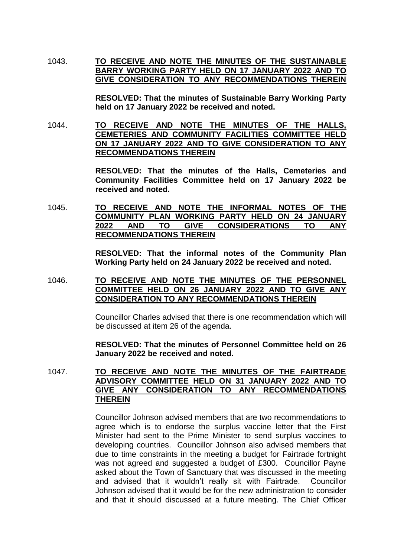1043. **TO RECEIVE AND NOTE THE MINUTES OF THE SUSTAINABLE BARRY WORKING PARTY HELD ON 17 JANUARY 2022 AND TO GIVE CONSIDERATION TO ANY RECOMMENDATIONS THEREIN**

> **RESOLVED: That the minutes of Sustainable Barry Working Party held on 17 January 2022 be received and noted.**

1044. **TO RECEIVE AND NOTE THE MINUTES OF THE HALLS, CEMETERIES AND COMMUNITY FACILITIES COMMITTEE HELD ON 17 JANUARY 2022 AND TO GIVE CONSIDERATION TO ANY RECOMMENDATIONS THEREIN**

> **RESOLVED: That the minutes of the Halls, Cemeteries and Community Facilities Committee held on 17 January 2022 be received and noted.**

1045. **TO RECEIVE AND NOTE THE INFORMAL NOTES OF THE COMMUNITY PLAN WORKING PARTY HELD ON 24 JANUARY 2022 AND TO GIVE CONSIDERATIONS TO ANY RECOMMENDATIONS THEREIN**

> **RESOLVED: That the informal notes of the Community Plan Working Party held on 24 January 2022 be received and noted.**

1046. **TO RECEIVE AND NOTE THE MINUTES OF THE PERSONNEL COMMITTEE HELD ON 26 JANUARY 2022 AND TO GIVE ANY CONSIDERATION TO ANY RECOMMENDATIONS THEREIN**

> Councillor Charles advised that there is one recommendation which will be discussed at item 26 of the agenda.

> **RESOLVED: That the minutes of Personnel Committee held on 26 January 2022 be received and noted.**

1047. **TO RECEIVE AND NOTE THE MINUTES OF THE FAIRTRADE ADVISORY COMMITTEE HELD ON 31 JANUARY 2022 AND TO GIVE ANY CONSIDERATION TO ANY RECOMMENDATIONS THEREIN** 

> Councillor Johnson advised members that are two recommendations to agree which is to endorse the surplus vaccine letter that the First Minister had sent to the Prime Minister to send surplus vaccines to developing countries. Councillor Johnson also advised members that due to time constraints in the meeting a budget for Fairtrade fortnight was not agreed and suggested a budget of £300. Councillor Payne asked about the Town of Sanctuary that was discussed in the meeting and advised that it wouldn't really sit with Fairtrade. Councillor Johnson advised that it would be for the new administration to consider and that it should discussed at a future meeting. The Chief Officer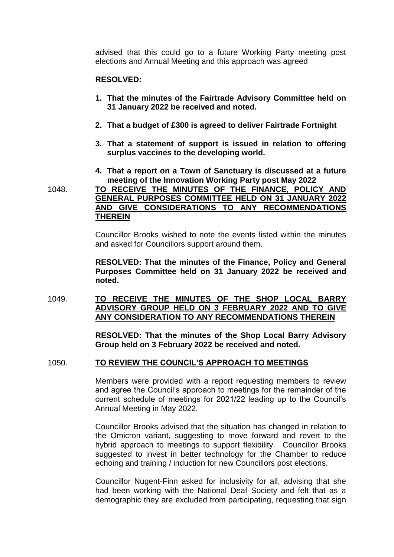advised that this could go to a future Working Party meeting post elections and Annual Meeting and this approach was agreed

## **RESOLVED:**

- **1. That the minutes of the Fairtrade Advisory Committee held on 31 January 2022 be received and noted.**
- **2. That a budget of £300 is agreed to deliver Fairtrade Fortnight**
- **3. That a statement of support is issued in relation to offering surplus vaccines to the developing world.**
- **4. That a report on a Town of Sanctuary is discussed at a future meeting of the Innovation Working Party post May 2022**

# 1048. **TO RECEIVE THE MINUTES OF THE FINANCE, POLICY AND GENERAL PURPOSES COMMITTEE HELD ON 31 JANUARY 2022 AND GIVE CONSIDERATIONS TO ANY RECOMMENDATIONS THEREIN**

Councillor Brooks wished to note the events listed within the minutes and asked for Councillors support around them.

**RESOLVED: That the minutes of the Finance, Policy and General Purposes Committee held on 31 January 2022 be received and noted.** 

# 1049. **TO RECEIVE THE MINUTES OF THE SHOP LOCAL BARRY ADVISORY GROUP HELD ON 3 FEBRUARY 2022 AND TO GIVE ANY CONSIDERATION TO ANY RECOMMENDATIONS THEREIN**

**RESOLVED: That the minutes of the Shop Local Barry Advisory Group held on 3 February 2022 be received and noted.** 

# 1050. **TO REVIEW THE COUNCIL'S APPROACH TO MEETINGS**

Members were provided with a report requesting members to review and agree the Council's approach to meetings for the remainder of the current schedule of meetings for 2021/22 leading up to the Council's Annual Meeting in May 2022.

Councillor Brooks advised that the situation has changed in relation to the Omicron variant, suggesting to move forward and revert to the hybrid approach to meetings to support flexibility. Councillor Brooks suggested to invest in better technology for the Chamber to reduce echoing and training / induction for new Councillors post elections.

Councillor Nugent-Finn asked for inclusivity for all, advising that she had been working with the National Deaf Society and felt that as a demographic they are excluded from participating, requesting that sign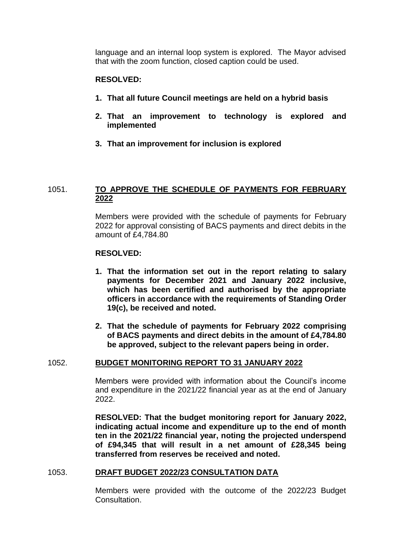language and an internal loop system is explored. The Mayor advised that with the zoom function, closed caption could be used.

# **RESOLVED:**

- **1. That all future Council meetings are held on a hybrid basis**
- **2. That an improvement to technology is explored and implemented**
- **3. That an improvement for inclusion is explored**

# 1051. **TO APPROVE THE SCHEDULE OF PAYMENTS FOR FEBRUARY 2022**

Members were provided with the schedule of payments for February 2022 for approval consisting of BACS payments and direct debits in the amount of £4,784.80

# **RESOLVED:**

- **1. That the information set out in the report relating to salary payments for December 2021 and January 2022 inclusive, which has been certified and authorised by the appropriate officers in accordance with the requirements of Standing Order 19(c), be received and noted.**
- **2. That the schedule of payments for February 2022 comprising of BACS payments and direct debits in the amount of £4,784.80 be approved, subject to the relevant papers being in order.**

# 1052. **BUDGET MONITORING REPORT TO 31 JANUARY 2022**

Members were provided with information about the Council's income and expenditure in the 2021/22 financial year as at the end of January 2022.

**RESOLVED: That the budget monitoring report for January 2022, indicating actual income and expenditure up to the end of month ten in the 2021/22 financial year, noting the projected underspend of £94,345 that will result in a net amount of £28,345 being transferred from reserves be received and noted.**

# 1053. **DRAFT BUDGET 2022/23 CONSULTATION DATA**

Members were provided with the outcome of the 2022/23 Budget Consultation.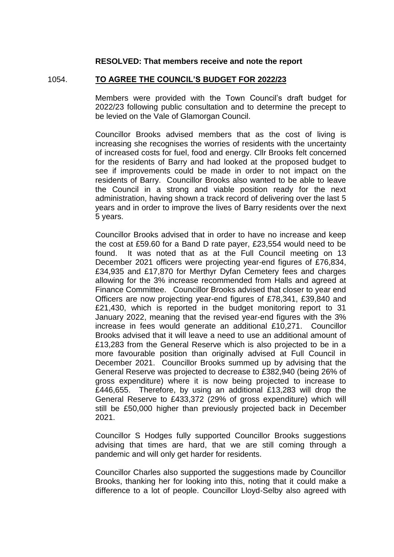### **RESOLVED: That members receive and note the report**

### 1054. **TO AGREE THE COUNCIL'S BUDGET FOR 2022/23**

Members were provided with the Town Council's draft budget for 2022/23 following public consultation and to determine the precept to be levied on the Vale of Glamorgan Council.

Councillor Brooks advised members that as the cost of living is increasing she recognises the worries of residents with the uncertainty of increased costs for fuel, food and energy. Cllr Brooks felt concerned for the residents of Barry and had looked at the proposed budget to see if improvements could be made in order to not impact on the residents of Barry. Councillor Brooks also wanted to be able to leave the Council in a strong and viable position ready for the next administration, having shown a track record of delivering over the last 5 years and in order to improve the lives of Barry residents over the next 5 years.

Councillor Brooks advised that in order to have no increase and keep the cost at £59.60 for a Band D rate payer, £23,554 would need to be found. It was noted that as at the Full Council meeting on 13 December 2021 officers were projecting year-end figures of £76,834, £34,935 and £17,870 for Merthyr Dyfan Cemetery fees and charges allowing for the 3% increase recommended from Halls and agreed at Finance Committee. Councillor Brooks advised that closer to year end Officers are now projecting year-end figures of £78,341, £39,840 and £21,430, which is reported in the budget monitoring report to 31 January 2022, meaning that the revised year-end figures with the 3% increase in fees would generate an additional £10,271.Councillor Brooks advised that it will leave a need to use an additional amount of £13,283 from the General Reserve which is also projected to be in a more favourable position than originally advised at Full Council in December 2021. Councillor Brooks summed up by advising that the General Reserve was projected to decrease to £382,940 (being 26% of gross expenditure) where it is now being projected to increase to £446,655. Therefore, by using an additional £13,283 will drop the General Reserve to £433,372 (29% of gross expenditure) which will still be £50,000 higher than previously projected back in December 2021.

Councillor S Hodges fully supported Councillor Brooks suggestions advising that times are hard, that we are still coming through a pandemic and will only get harder for residents.

Councillor Charles also supported the suggestions made by Councillor Brooks, thanking her for looking into this, noting that it could make a difference to a lot of people. Councillor Lloyd-Selby also agreed with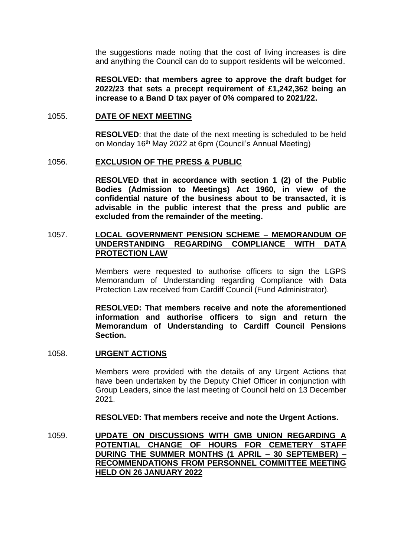the suggestions made noting that the cost of living increases is dire and anything the Council can do to support residents will be welcomed.

**RESOLVED: that members agree to approve the draft budget for 2022/23 that sets a precept requirement of £1,242,362 being an increase to a Band D tax payer of 0% compared to 2021/22.** 

#### 1055. **DATE OF NEXT MEETING**

**RESOLVED**: that the date of the next meeting is scheduled to be held on Monday 16th May 2022 at 6pm (Council's Annual Meeting)

### 1056. **EXCLUSION OF THE PRESS & PUBLIC**

**RESOLVED that in accordance with section 1 (2) of the Public Bodies (Admission to Meetings) Act 1960, in view of the confidential nature of the business about to be transacted, it is advisable in the public interest that the press and public are excluded from the remainder of the meeting.**

## 1057. **LOCAL GOVERNMENT PENSION SCHEME – MEMORANDUM OF UNDERSTANDING REGARDING COMPLIANCE WITH DATA PROTECTION LAW**

Members were requested to authorise officers to sign the LGPS Memorandum of Understanding regarding Compliance with Data Protection Law received from Cardiff Council (Fund Administrator).

**RESOLVED: That members receive and note the aforementioned information and authorise officers to sign and return the Memorandum of Understanding to Cardiff Council Pensions Section.**

## 1058. **URGENT ACTIONS**

Members were provided with the details of any Urgent Actions that have been undertaken by the Deputy Chief Officer in conjunction with Group Leaders, since the last meeting of Council held on 13 December 2021.

**RESOLVED: That members receive and note the Urgent Actions.**

1059. **UPDATE ON DISCUSSIONS WITH GMB UNION REGARDING A POTENTIAL CHANGE OF HOURS FOR CEMETERY STAFF DURING THE SUMMER MONTHS (1 APRIL – 30 SEPTEMBER) – RECOMMENDATIONS FROM PERSONNEL COMMITTEE MEETING HELD ON 26 JANUARY 2022**